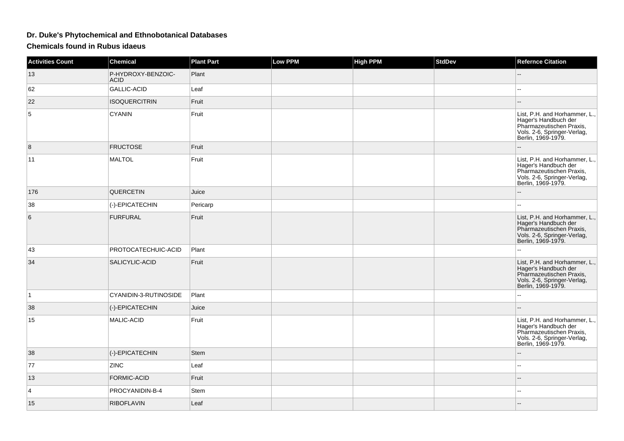## **Dr. Duke's Phytochemical and Ethnobotanical Databases**

**Chemicals found in Rubus idaeus**

| Activities Count | <b>Chemical</b>                   | <b>Plant Part</b> | <b>Low PPM</b> | <b>High PPM</b> | <b>StdDev</b> | <b>Refernce Citation</b>                                                                                                               |
|------------------|-----------------------------------|-------------------|----------------|-----------------|---------------|----------------------------------------------------------------------------------------------------------------------------------------|
| 13               | P-HYDROXY-BENZOIC-<br><b>ACID</b> | Plant             |                |                 |               | --                                                                                                                                     |
| 62               | <b>GALLIC-ACID</b>                | Leaf              |                |                 |               |                                                                                                                                        |
| 22               | <b>ISOQUERCITRIN</b>              | Fruit             |                |                 |               |                                                                                                                                        |
| 5                | <b>CYANIN</b>                     | Fruit             |                |                 |               | List, P.H. and Horhammer, L.,<br>Hager's Handbuch der<br>Pharmazeutischen Praxis,<br>Vols. 2-6, Springer-Verlag,<br>Berlin, 1969-1979. |
| 8                | <b>FRUCTOSE</b>                   | Fruit             |                |                 |               |                                                                                                                                        |
| 11               | <b>MALTOL</b>                     | Fruit             |                |                 |               | List, P.H. and Horhammer, L.,<br>Hager's Handbuch der<br>Pharmazeutischen Praxis,<br>Vols. 2-6, Springer-Verlag,<br>Berlin, 1969-1979. |
| 176              | QUERCETIN                         | Juice             |                |                 |               |                                                                                                                                        |
| 38               | (-)-EPICATECHIN                   | Pericarp          |                |                 |               | --                                                                                                                                     |
| 6                | <b>FURFURAL</b>                   | Fruit             |                |                 |               | List, P.H. and Horhammer, L.,<br>Hager's Handbuch der<br>Pharmazeutischen Praxis,<br>Vols. 2-6, Springer-Verlag,<br>Berlin, 1969-1979. |
| 43               | PROTOCATECHUIC-ACID               | Plant             |                |                 |               |                                                                                                                                        |
| 34               | SALICYLIC-ACID                    | Fruit             |                |                 |               | List, P.H. and Horhammer, L.,<br>Hager's Handbuch der<br>Pharmazeutischen Praxis,<br>Vols. 2-6, Springer-Verlag,<br>Berlin, 1969-1979. |
| $\mathbf{1}$     | CYANIDIN-3-RUTINOSIDE             | Plant             |                |                 |               | J.                                                                                                                                     |
| 38               | (-)-EPICATECHIN                   | Juice             |                |                 |               | --                                                                                                                                     |
| 15               | MALIC-ACID                        | Fruit             |                |                 |               | List, P.H. and Horhammer, L.,<br>Hager's Handbuch der<br>Pharmazeutischen Praxis,<br>Vols. 2-6, Springer-Verlag,<br>Berlin, 1969-1979. |
| 38               | (-)-EPICATECHIN                   | Stem              |                |                 |               |                                                                                                                                        |
| 77               | <b>ZINC</b>                       | Leaf              |                |                 |               | ۵.                                                                                                                                     |
| 13               | <b>FORMIC-ACID</b>                | Fruit             |                |                 |               |                                                                                                                                        |
| $\overline{4}$   | PROCYANIDIN-B-4                   | <b>Stem</b>       |                |                 |               | --                                                                                                                                     |
| 15               | <b>RIBOFLAVIN</b>                 | Leaf              |                |                 |               | --                                                                                                                                     |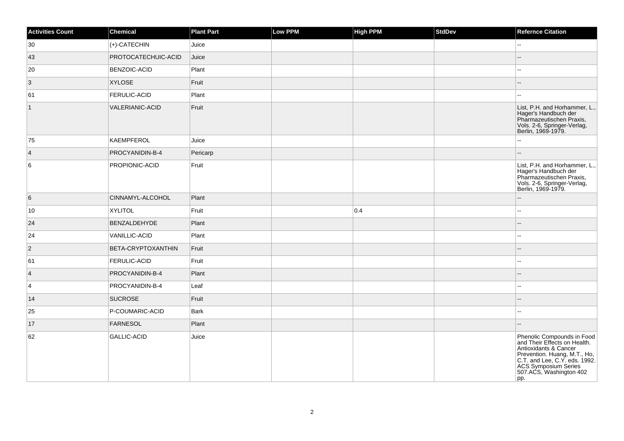| <b>Activities Count</b> | Chemical               | <b>Plant Part</b> | <b>Low PPM</b> | <b>High PPM</b> | StdDev | <b>Refernce Citation</b>                                                                                                                                                                                       |
|-------------------------|------------------------|-------------------|----------------|-----------------|--------|----------------------------------------------------------------------------------------------------------------------------------------------------------------------------------------------------------------|
| $ 30\rangle$            | (+)-CATECHIN           | Juice             |                |                 |        | $-$                                                                                                                                                                                                            |
| 43                      | PROTOCATECHUIC-ACID    | Juice             |                |                 |        |                                                                                                                                                                                                                |
| 20                      | <b>BENZOIC-ACID</b>    | Plant             |                |                 |        |                                                                                                                                                                                                                |
| $\vert$ 3               | <b>XYLOSE</b>          | Fruit             |                |                 |        |                                                                                                                                                                                                                |
| 61                      | <b>FERULIC-ACID</b>    | Plant             |                |                 |        |                                                                                                                                                                                                                |
| $\overline{1}$          | <b>VALERIANIC-ACID</b> | Fruit             |                |                 |        | List, P.H. and Horhammer, L.,<br>Hager's Handbuch der<br>Pharmazeutischen Praxis,<br>Vols. 2-6, Springer-Verlag,<br>Berlin, 1969-1979.                                                                         |
| 75                      | KAEMPFEROL             | Juice             |                |                 |        | Щ,                                                                                                                                                                                                             |
| $\vert$ 4               | PROCYANIDIN-B-4        | Pericarp          |                |                 |        |                                                                                                                                                                                                                |
| 6                       | PROPIONIC-ACID         | Fruit             |                |                 |        | List, P.H. and Horhammer, L.,<br>Hager's Handbuch der<br>Pharmazeutischen Praxis,<br>Vols. 2-6, Springer-Verlag,<br>Berlin, 1969-1979.                                                                         |
| 6                       | CINNAMYL-ALCOHOL       | Plant             |                |                 |        | $\sim$                                                                                                                                                                                                         |
| 10                      | <b>XYLITOL</b>         | Fruit             |                | 0.4             |        |                                                                                                                                                                                                                |
| 24                      | <b>BENZALDEHYDE</b>    | Plant             |                |                 |        |                                                                                                                                                                                                                |
| 24                      | VANILLIC-ACID          | Plant             |                |                 |        | $\sim$                                                                                                                                                                                                         |
| $\vert$ 2               | BETA-CRYPTOXANTHIN     | Fruit             |                |                 |        |                                                                                                                                                                                                                |
| 61                      | <b>FERULIC-ACID</b>    | Fruit             |                |                 |        | --                                                                                                                                                                                                             |
| $\vert$ 4               | PROCYANIDIN-B-4        | Plant             |                |                 |        |                                                                                                                                                                                                                |
| $\vert 4 \vert$         | PROCYANIDIN-B-4        | Leaf              |                |                 |        | --                                                                                                                                                                                                             |
| 14                      | <b>SUCROSE</b>         | Fruit             |                |                 |        |                                                                                                                                                                                                                |
| 25                      | P-COUMARIC-ACID        | Bark              |                |                 |        | $\sim$ $\sim$                                                                                                                                                                                                  |
| 17                      | <b>FARNESOL</b>        | Plant             |                |                 |        |                                                                                                                                                                                                                |
| 62                      | GALLIC-ACID            | Juice             |                |                 |        | Phenolic Compounds in Food<br>and Their Effects on Health.<br>Antioxidants & Cancer<br>Prevention. Huang, M.T., Ho,<br>C.T. and Lee, C.Y. eds. 1992.<br>ACS Symposium Series<br>507.ACS, Washington 402<br>pp. |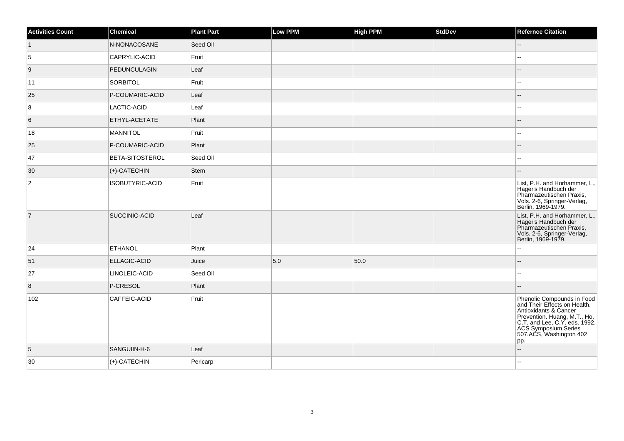| <b>Activities Count</b> | Chemical               | <b>Plant Part</b> | Low PPM | <b>High PPM</b> | StdDev | <b>Refernce Citation</b>                                                                                                                                                                                       |
|-------------------------|------------------------|-------------------|---------|-----------------|--------|----------------------------------------------------------------------------------------------------------------------------------------------------------------------------------------------------------------|
|                         | N-NONACOSANE           | Seed Oil          |         |                 |        | $\overline{\phantom{a}}$                                                                                                                                                                                       |
| 5                       | CAPRYLIC-ACID          | Fruit             |         |                 |        |                                                                                                                                                                                                                |
| 9                       | PEDUNCULAGIN           | Leaf              |         |                 |        |                                                                                                                                                                                                                |
| 11                      | SORBITOL               | Fruit             |         |                 |        | $\overline{a}$                                                                                                                                                                                                 |
| 25                      | P-COUMARIC-ACID        | Leaf              |         |                 |        | $-$                                                                                                                                                                                                            |
| 8                       | LACTIC-ACID            | Leaf              |         |                 |        | $\overline{a}$                                                                                                                                                                                                 |
| 6                       | ETHYL-ACETATE          | Plant             |         |                 |        | --                                                                                                                                                                                                             |
| 18                      | MANNITOL               | Fruit             |         |                 |        | $-1$                                                                                                                                                                                                           |
| 25                      | P-COUMARIC-ACID        | Plant             |         |                 |        | --                                                                                                                                                                                                             |
| 47                      | <b>BETA-SITOSTEROL</b> | Seed Oil          |         |                 |        |                                                                                                                                                                                                                |
| 30                      | $ (+)$ -CATECHIN       | Stem              |         |                 |        |                                                                                                                                                                                                                |
| $\overline{2}$          | ISOBUTYRIC-ACID        | Fruit             |         |                 |        | List, P.H. and Horhammer, L.,<br>Hager's Handbuch der<br>Pharmazeutischen Praxis,<br>Vols. 2-6, Springer-Verlag,<br>Berlin, 1969-1979.                                                                         |
| $\overline{7}$          | <b>SUCCINIC-ACID</b>   | Leaf              |         |                 |        | List, P.H. and Horhammer, L.,<br>Hager's Handbuch der<br>Pharmazeutischen Praxis,<br>Vols. 2-6, Springer-Verlag,<br>Berlin, 1969-1979.                                                                         |
| 24                      | <b>ETHANOL</b>         | Plant             |         |                 |        | Ξ.                                                                                                                                                                                                             |
| 51                      | <b>ELLAGIC-ACID</b>    | Juice             | 5.0     | 50.0            |        | --                                                                                                                                                                                                             |
| 27                      | LINOLEIC-ACID          | Seed Oil          |         |                 |        | --                                                                                                                                                                                                             |
| $\overline{8}$          | P-CRESOL               | Plant             |         |                 |        |                                                                                                                                                                                                                |
| 102                     | CAFFEIC-ACID           | Fruit             |         |                 |        | Phenolic Compounds in Food<br>and Their Effects on Health.<br>Antioxidants & Cancer<br>Prevention. Huang, M.T., Ho,<br>C.T. and Lee, C.Y. eds. 1992.<br>ACS Symposium Series<br>507.ACS, Washington 402<br>pp. |
| 5                       | SANGUIIN-H-6           | Leaf              |         |                 |        | $\overline{a}$                                                                                                                                                                                                 |
| 30                      | $ $ (+)-CATECHIN       | Pericarp          |         |                 |        |                                                                                                                                                                                                                |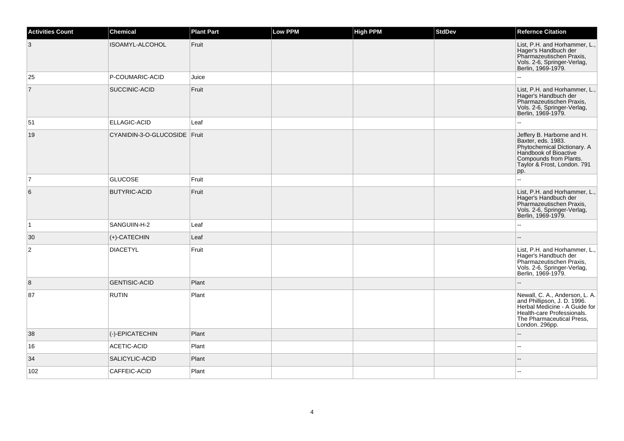| Activities Count | <b>Chemical</b>              | <b>Plant Part</b> | Low PPM | <b>High PPM</b> | <b>StdDev</b> | <b>Refernce Citation</b>                                                                                                                                                    |
|------------------|------------------------------|-------------------|---------|-----------------|---------------|-----------------------------------------------------------------------------------------------------------------------------------------------------------------------------|
| 3                | ISOAMYL-ALCOHOL              | Fruit             |         |                 |               | List, P.H. and Horhammer, L.,<br>Hager's Handbuch der<br>Pharmazeutischen Praxis,<br>Vols. 2-6, Springer-Verlag,<br>Berlin, 1969-1979.                                      |
| 25               | P-COUMARIC-ACID              | Juice             |         |                 |               | $\sim$                                                                                                                                                                      |
| $\overline{7}$   | SUCCINIC-ACID                | Fruit             |         |                 |               | List, P.H. and Horhammer, L.,<br>Hager's Handbuch der<br>Pharmazeutischen Praxis,<br>Vols. 2-6, Springer-Verlag,<br>Berlin, 1969-1979.                                      |
| 51               | ELLAGIC-ACID                 | Leaf              |         |                 |               |                                                                                                                                                                             |
| 19               | CYANIDIN-3-O-GLUCOSIDE Fruit |                   |         |                 |               | Jeffery B. Harborne and H.<br>Baxter, eds. 1983.<br>Phytochemical Dictionary. A<br>Handbook of Bioactive<br>Compounds from Plants.<br>Taylor & Frost, London. 791<br>pp.    |
| $\overline{7}$   | <b>GLUCOSE</b>               | Fruit             |         |                 |               |                                                                                                                                                                             |
| 6                | <b>BUTYRIC-ACID</b>          | Fruit             |         |                 |               | List, P.H. and Horhammer, L.,<br>Hager's Handbuch der<br>Pharmazeutischen Praxis,<br>Vols. 2-6, Springer-Verlag,<br>Berlin, 1969-1979.                                      |
| $\overline{1}$   | SANGUIIN-H-2                 | Leaf              |         |                 |               | $\sim$                                                                                                                                                                      |
| 30               | $(+)$ -CATECHIN              | Leaf              |         |                 |               |                                                                                                                                                                             |
| $\overline{c}$   | <b>DIACETYL</b>              | Fruit             |         |                 |               | List, P.H. and Horhammer, L.,<br>Hager's Handbuch der<br>Pharmazeutischen Praxis,<br>Vols. 2-6, Springer-Verlag,<br>Berlin, 1969-1979.                                      |
| 8                | <b>GENTISIC-ACID</b>         | Plant             |         |                 |               |                                                                                                                                                                             |
| 87               | <b>RUTIN</b>                 | Plant             |         |                 |               | Newall, C. A., Anderson, L. A.<br>and Phillipson, J. D. 1996.<br>Herbal Medicine - A Guide for<br>Health-care Professionals.<br>The Pharmaceutical Press,<br>London. 296pp. |
| 38               | (-)-EPICATECHIN              | Plant             |         |                 |               |                                                                                                                                                                             |
| 16               | ACETIC-ACID                  | Plant             |         |                 |               | $\overline{\phantom{a}}$                                                                                                                                                    |
| 34               | SALICYLIC-ACID               | Plant             |         |                 |               |                                                                                                                                                                             |
| 102              | CAFFEIC-ACID                 | Plant             |         |                 |               |                                                                                                                                                                             |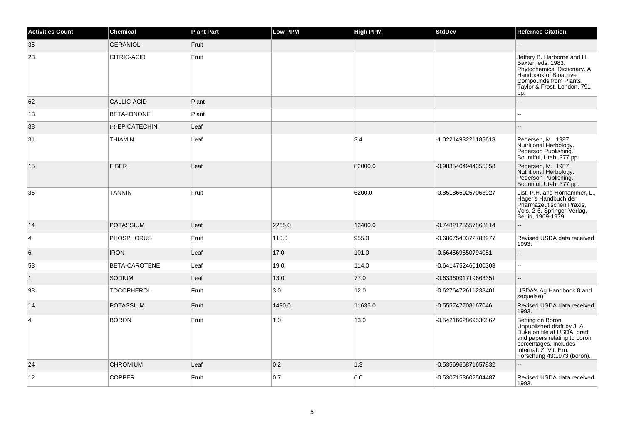| <b>Activities Count</b> | <b>Chemical</b>    | <b>Plant Part</b> | Low PPM | <b>High PPM</b> | <b>StdDev</b>       | <b>Refernce Citation</b>                                                                                                                                                                        |
|-------------------------|--------------------|-------------------|---------|-----------------|---------------------|-------------------------------------------------------------------------------------------------------------------------------------------------------------------------------------------------|
| 35                      | <b>GERANIOL</b>    | Fruit             |         |                 |                     |                                                                                                                                                                                                 |
| 23                      | CITRIC-ACID        | Fruit             |         |                 |                     | Jeffery B. Harborne and H.<br>Baxter, eds. 1983.<br>Phytochemical Dictionary. A<br>Handbook of Bioactive<br>Compounds from Plants.<br>Taylor & Frost, London. 791<br>pp.                        |
| 62                      | <b>GALLIC-ACID</b> | Plant             |         |                 |                     |                                                                                                                                                                                                 |
| 13                      | BETA-IONONE        | Plant             |         |                 |                     |                                                                                                                                                                                                 |
| 38                      | (-)-EPICATECHIN    | Leaf              |         |                 |                     |                                                                                                                                                                                                 |
| 31                      | <b>THIAMIN</b>     | Leaf              |         | 3.4             | -1.0221493221185618 | Pedersen, M. 1987.<br>Nutritional Herbology.<br>Pederson Publishing.<br>Bountiful, Utah. 377 pp.                                                                                                |
| 15                      | <b>FIBER</b>       | Leaf              |         | 82000.0         | -0.9835404944355358 | Pedersen, M. 1987.<br>Nutritional Herbology.<br>Pederson Publishing.<br>Bountiful, Utah. 377 pp.                                                                                                |
| 35                      | <b>TANNIN</b>      | Fruit             |         | 6200.0          | -0.8518650257063927 | List, P.H. and Horhammer, L.,<br>Hager's Handbuch der<br>Pharmazeutischen Praxis,<br>Vols. 2-6, Springer-Verlag,<br>Berlin, 1969-1979.                                                          |
| 14                      | <b>POTASSIUM</b>   | Leaf              | 2265.0  | 13400.0         | -0.7482125557868814 |                                                                                                                                                                                                 |
| $\overline{4}$          | <b>PHOSPHORUS</b>  | Fruit             | 110.0   | 955.0           | -0.6867540372783977 | Revised USDA data received<br>1993.                                                                                                                                                             |
| 6                       | <b>IRON</b>        | Leaf              | 17.0    | 101.0           | -0.664569650794051  | $\sim$                                                                                                                                                                                          |
| 53                      | BETA-CAROTENE      | Leaf              | 19.0    | 114.0           | -0.6414752460100303 | ă.                                                                                                                                                                                              |
| $\overline{1}$          | <b>SODIUM</b>      | Leaf              | 13.0    | 77.0            | -0.6336091719663351 | ÷.                                                                                                                                                                                              |
| 93                      | <b>TOCOPHEROL</b>  | Fruit             | 3.0     | 12.0            | -0.6276472611238401 | USDA's Ag Handbook 8 and<br>sequelae)                                                                                                                                                           |
| 14                      | <b>POTASSIUM</b>   | Fruit             | 1490.0  | 11635.0         | -0.555747708167046  | Revised USDA data received<br>1993.                                                                                                                                                             |
| $\overline{4}$          | <b>BORON</b>       | Fruit             | 1.0     | 13.0            | -0.5421662869530862 | Betting on Boron,<br>Unpublished draft by J. A.<br>Duke on file at USDA, draft<br>and papers relating to boron<br>percentages. Includes<br>Internat. Z. Vit. Ern.<br>Forschung 43:1973 (boron). |
| 24                      | <b>CHROMIUM</b>    | Leaf              | 0.2     | 1.3             | -0.5356966871657832 |                                                                                                                                                                                                 |
| 12                      | <b>COPPER</b>      | Fruit             | 0.7     | 6.0             | -0.5307153602504487 | Revised USDA data received<br>1993.                                                                                                                                                             |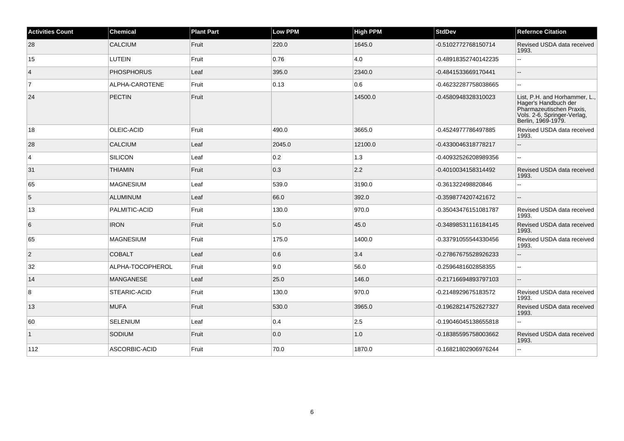| <b>Activities Count</b> | Chemical            | <b>Plant Part</b> | <b>Low PPM</b> | <b>High PPM</b> | <b>StdDev</b>        | <b>Refernce Citation</b>                                                                                                               |
|-------------------------|---------------------|-------------------|----------------|-----------------|----------------------|----------------------------------------------------------------------------------------------------------------------------------------|
| 28                      | <b>CALCIUM</b>      | Fruit             | 220.0          | 1645.0          | -0.5102772768150714  | Revised USDA data received<br>1993.                                                                                                    |
| 15                      | LUTEIN              | Fruit             | 0.76           | 4.0             | -0.48918352740142235 | Ш,                                                                                                                                     |
| $\overline{4}$          | <b>PHOSPHORUS</b>   | Leaf              | 395.0          | 2340.0          | -0.4841533669170441  | $\overline{a}$                                                                                                                         |
| $\overline{7}$          | ALPHA-CAROTENE      | Fruit             | 0.13           | 0.6             | -0.46232287758038665 | цü.                                                                                                                                    |
| 24                      | PECTIN              | Fruit             |                | 14500.0         | -0.4580948328310023  | List, P.H. and Horhammer, L.,<br>Hager's Handbuch der<br>Pharmazeutischen Praxis,<br>Vols. 2-6, Springer-Verlag,<br>Berlin, 1969-1979. |
| 18                      | OLEIC-ACID          | Fruit             | 490.0          | 3665.0          | -0.4524977786497885  | Revised USDA data received<br>1993.                                                                                                    |
| 28                      | <b>CALCIUM</b>      | Leaf              | 2045.0         | 12100.0         | -0.4330046318778217  | --                                                                                                                                     |
| $\overline{4}$          | SILICON             | Leaf              | 0.2            | 1.3             | -0.40932526208989356 | шш.                                                                                                                                    |
| 31                      | <b>THIAMIN</b>      | Fruit             | 0.3            | 2.2             | -0.4010034158314492  | Revised USDA data received<br>1993.                                                                                                    |
| 65                      | <b>MAGNESIUM</b>    | Leaf              | 539.0          | 3190.0          | -0.361322498820846   | Щ,                                                                                                                                     |
| 5                       | ALUMINUM            | Leaf              | 66.0           | 392.0           | -0.3598774207421672  | --                                                                                                                                     |
| 13                      | PALMITIC-ACID       | Fruit             | 130.0          | 970.0           | -0.35043476151081787 | Revised USDA data received<br>1993.                                                                                                    |
| 6                       | <b>IRON</b>         | Fruit             | 5.0            | 45.0            | -0.34898531116184145 | Revised USDA data received<br>1993.                                                                                                    |
| 65                      | <b>MAGNESIUM</b>    | Fruit             | 175.0          | 1400.0          | -0.33791055544330456 | Revised USDA data received<br>1993.                                                                                                    |
| $\overline{2}$          | <b>COBALT</b>       | Leaf              | 0.6            | 3.4             | -0.27867675528926233 | $-$                                                                                                                                    |
| 32                      | ALPHA-TOCOPHEROL    | Fruit             | 9.0            | 56.0            | -0.2596481602858355  | Ξ.                                                                                                                                     |
| 14                      | <b>MANGANESE</b>    | Leaf              | 25.0           | 146.0           | -0.21716694893797103 | $-$                                                                                                                                    |
| 8                       | <b>STEARIC-ACID</b> | Fruit             | 130.0          | 970.0           | -0.2148929675183572  | Revised USDA data received<br>1993.                                                                                                    |
| 13                      | <b>MUFA</b>         | Fruit             | 530.0          | 3965.0          | -0.19628214752627327 | Revised USDA data received<br>1993.                                                                                                    |
| 60                      | <b>SELENIUM</b>     | Leaf              | 0.4            | 2.5             | -0.19046045138655818 | L.                                                                                                                                     |
| $\overline{1}$          | <b>SODIUM</b>       | Fruit             | 0.0            | 1.0             | -0.18385595758003662 | Revised USDA data received<br>1993.                                                                                                    |
| 112                     | ASCORBIC-ACID       | Fruit             | 70.0           | 1870.0          | -0.16821802906976244 | 44                                                                                                                                     |